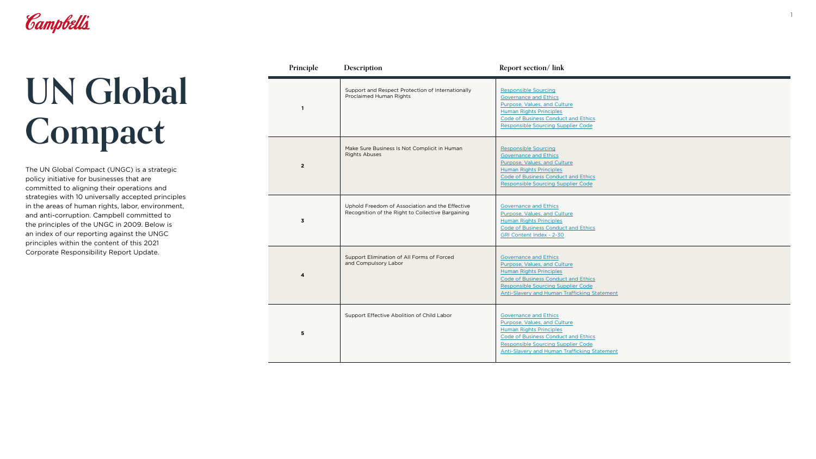

## **UN Global Compact**

The UN Global Compact (UNGC) is a strategic policy initiative for businesses that are committed to aligning their operations and strategies with 10 universally accepted principles in the areas of human rights, labor, environment, and anti-corruption. Campbell committed to the principles of the UNGC in 2009. Below is an index of our reporting against the UNGC principles within the content of this 2021 Corporate Responsibility Report Update.

| Principle      | Description                                                                                          | Report section/lin                                                                                                                                                                       |
|----------------|------------------------------------------------------------------------------------------------------|------------------------------------------------------------------------------------------------------------------------------------------------------------------------------------------|
| 1              | Support and Respect Protection of Internationally<br>Proclaimed Human Rights                         | <b>Responsible Sourcing</b><br><b>Governance and Ethics</b><br>Purpose, Values, and C<br><b>Human Rights Principle</b><br><b>Code of Business Cond</b><br><b>Responsible Sourcing 9</b>  |
| $\overline{2}$ | Make Sure Business Is Not Complicit in Human<br><b>Rights Abuses</b>                                 | <b>Responsible Sourcing</b><br><b>Governance and Ethics</b><br>Purpose, Values, and C<br><b>Human Rights Principle</b><br><b>Code of Business Cond</b><br><b>Responsible Sourcing 9</b>  |
| 3              | Uphold Freedom of Association and the Effective<br>Recognition of the Right to Collective Bargaining | <b>Governance and Ethics</b><br>Purpose, Values, and C<br><b>Human Rights Principle</b><br>Code of Business Cond<br><b>GRI Content Index - 2-3</b>                                       |
| 4              | Support Elimination of All Forms of Forced<br>and Compulsory Labor                                   | <b>Governance and Ethics</b><br>Purpose, Values, and C<br><b>Human Rights Principle</b><br><b>Code of Business Cond</b><br><b>Responsible Sourcing 9</b><br><b>Anti-Slavery and Huma</b> |
| 5              | Support Effective Abolition of Child Labor                                                           | <b>Governance and Ethics</b><br>Purpose, Values, and C<br><b>Human Rights Principle</b><br><b>Code of Business Cond</b><br><b>Responsible Sourcing 9</b><br><b>Anti-Slavery and Huma</b> |

## **Report section/ link**

| onally        | <b>Responsible Sourcing</b><br><b>Governance and Ethics</b><br>Purpose, Values, and Culture<br><b>Human Rights Principles</b><br><b>Code of Business Conduct and Ethics</b><br><b>Responsible Sourcing Supplier Code</b>    |
|---------------|-----------------------------------------------------------------------------------------------------------------------------------------------------------------------------------------------------------------------------|
| ın            | <b>Responsible Sourcing</b><br><b>Governance and Ethics</b><br>Purpose, Values, and Culture<br><b>Human Rights Principles</b><br><b>Code of Business Conduct and Ethics</b><br><b>Responsible Sourcing Supplier Code</b>    |
| ctive<br>ning | <b>Governance and Ethics</b><br>Purpose, Values, and Culture<br><b>Human Rights Principles</b><br>Code of Business Conduct and Ethics<br><b>GRI Content Index - 2-30</b>                                                    |
|               | <b>Governance and Ethics</b><br>Purpose, Values, and Culture<br><b>Human Rights Principles</b><br>Code of Business Conduct and Ethics<br>Responsible Sourcing Supplier Code<br>Anti-Slavery and Human Trafficking Statement |
|               | <b>Governance and Ethics</b><br>Purpose, Values, and Culture<br><b>Human Rights Principles</b><br>Code of Business Conduct and Ethics<br>Responsible Sourcing Supplier Code<br>Anti-Slavery and Human Trafficking Statement |